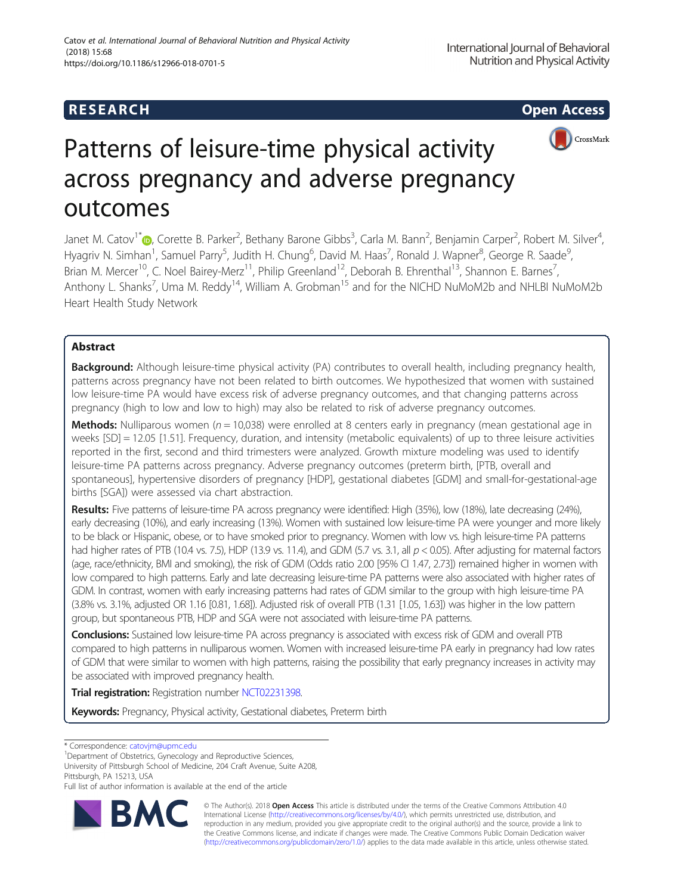## **RESEARCH RESEARCH CONSUMING ACCESS**



# Patterns of leisure-time physical activity across pregnancy and adverse pregnancy outcomes

Janet M. Catov<sup>1[\\*](http://orcid.org/0000-0002-9551-851X)</sup>�, Corette B. Parker<sup>2</sup>, Bethany Barone Gibbs<sup>3</sup>, Carla M. Bann<sup>2</sup>, Benjamin Carper<sup>2</sup>, Robert M. Silver<sup>4</sup> , Hyagriv N. Simhan<sup>1</sup>, Samuel Parry<sup>5</sup>, Judith H. Chung<sup>6</sup>, David M. Haas<sup>7</sup>, Ronald J. Wapner<sup>8</sup>, George R. Saade<sup>s</sup> , Brian M. Mercer<sup>10</sup>, C. Noel Bairey-Merz<sup>11</sup>, Philip Greenland<sup>12</sup>, Deborah B. Ehrenthal<sup>13</sup>, Shannon E. Barnes<sup>7</sup>, , Anthony L. Shanks<sup>7</sup>, Uma M. Reddy<sup>14</sup>, William A. Grobman<sup>15</sup> and for the NICHD NuMoM2b and NHLBI NuMoM2b Heart Health Study Network

## Abstract

Background: Although leisure-time physical activity (PA) contributes to overall health, including pregnancy health, patterns across pregnancy have not been related to birth outcomes. We hypothesized that women with sustained low leisure-time PA would have excess risk of adverse pregnancy outcomes, and that changing patterns across pregnancy (high to low and low to high) may also be related to risk of adverse pregnancy outcomes.

**Methods:** Nulliparous women ( $n = 10,038$ ) were enrolled at 8 centers early in pregnancy (mean gestational age in weeks [SD] = 12.05 [1.51]. Frequency, duration, and intensity (metabolic equivalents) of up to three leisure activities reported in the first, second and third trimesters were analyzed. Growth mixture modeling was used to identify leisure-time PA patterns across pregnancy. Adverse pregnancy outcomes (preterm birth, [PTB, overall and spontaneous], hypertensive disorders of pregnancy [HDP], gestational diabetes [GDM] and small-for-gestational-age births [SGA]) were assessed via chart abstraction.

Results: Five patterns of leisure-time PA across pregnancy were identified: High (35%), low (18%), late decreasing (24%), early decreasing (10%), and early increasing (13%). Women with sustained low leisure-time PA were younger and more likely to be black or Hispanic, obese, or to have smoked prior to pregnancy. Women with low vs. high leisure-time PA patterns had higher rates of PTB (10.4 vs. 7.5), HDP (13.9 vs. 11.4), and GDM (5.7 vs. 3.1, all  $p < 0.05$ ). After adjusting for maternal factors (age, race/ethnicity, BMI and smoking), the risk of GDM (Odds ratio 2.00 [95% CI 1.47, 2.73]) remained higher in women with low compared to high patterns. Early and late decreasing leisure-time PA patterns were also associated with higher rates of GDM. In contrast, women with early increasing patterns had rates of GDM similar to the group with high leisure-time PA (3.8% vs. 3.1%, adjusted OR 1.16 [0.81, 1.68]). Adjusted risk of overall PTB (1.31 [1.05, 1.63]) was higher in the low pattern group, but spontaneous PTB, HDP and SGA were not associated with leisure-time PA patterns.

Conclusions: Sustained low leisure-time PA across pregnancy is associated with excess risk of GDM and overall PTB compared to high patterns in nulliparous women. Women with increased leisure-time PA early in pregnancy had low rates of GDM that were similar to women with high patterns, raising the possibility that early pregnancy increases in activity may be associated with improved pregnancy health.

Trial registration: Registration number [NCT02231398.](https://clinicaltrials.gov/ct2/show/NCT02231398)

Keywords: Pregnancy, Physical activity, Gestational diabetes, Preterm birth

\* Correspondence: [catovjm@upmc.edu](mailto:catovjm@upmc.edu) <sup>1</sup>

<sup>1</sup>Department of Obstetrics, Gynecology and Reproductive Sciences,

University of Pittsburgh School of Medicine, 204 Craft Avenue, Suite A208, Pittsburgh, PA 15213, USA

Full list of author information is available at the end of the article



© The Author(s). 2018 Open Access This article is distributed under the terms of the Creative Commons Attribution 4.0 International License [\(http://creativecommons.org/licenses/by/4.0/](http://creativecommons.org/licenses/by/4.0/)), which permits unrestricted use, distribution, and reproduction in any medium, provided you give appropriate credit to the original author(s) and the source, provide a link to the Creative Commons license, and indicate if changes were made. The Creative Commons Public Domain Dedication waiver [\(http://creativecommons.org/publicdomain/zero/1.0/](http://creativecommons.org/publicdomain/zero/1.0/)) applies to the data made available in this article, unless otherwise stated.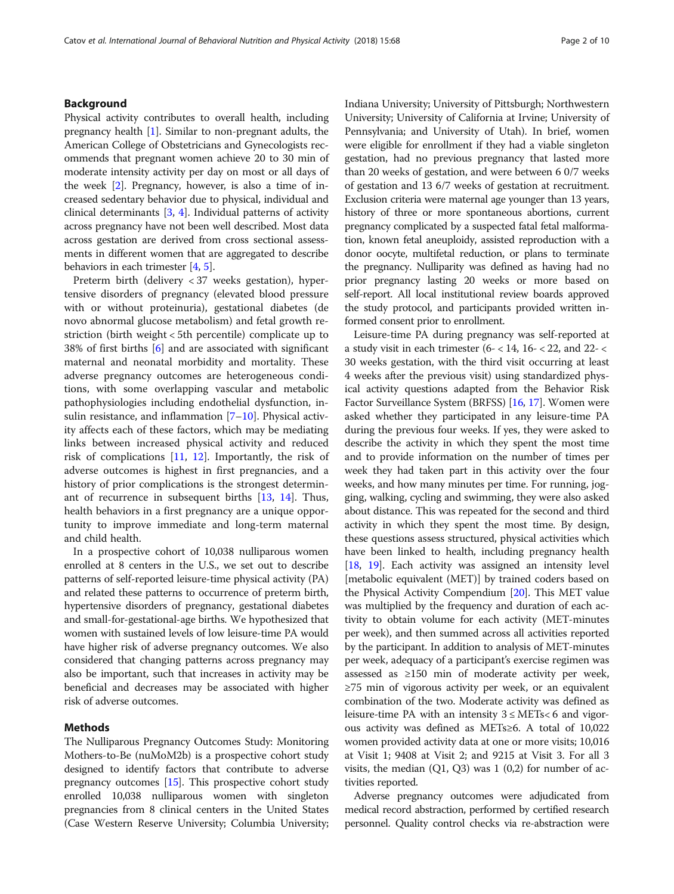## Background

Physical activity contributes to overall health, including pregnancy health [[1](#page-8-0)]. Similar to non-pregnant adults, the American College of Obstetricians and Gynecologists recommends that pregnant women achieve 20 to 30 min of moderate intensity activity per day on most or all days of the week [[2\]](#page-8-0). Pregnancy, however, is also a time of increased sedentary behavior due to physical, individual and clinical determinants [[3](#page-8-0), [4\]](#page-8-0). Individual patterns of activity across pregnancy have not been well described. Most data across gestation are derived from cross sectional assessments in different women that are aggregated to describe behaviors in each trimester [\[4](#page-8-0), [5\]](#page-8-0).

Preterm birth (delivery < 37 weeks gestation), hypertensive disorders of pregnancy (elevated blood pressure with or without proteinuria), gestational diabetes (de novo abnormal glucose metabolism) and fetal growth restriction (birth weight < 5th percentile) complicate up to 38% of first births [\[6](#page-8-0)] and are associated with significant maternal and neonatal morbidity and mortality. These adverse pregnancy outcomes are heterogeneous conditions, with some overlapping vascular and metabolic pathophysiologies including endothelial dysfunction, insulin resistance, and inflammation [\[7](#page-8-0)–[10\]](#page-8-0). Physical activity affects each of these factors, which may be mediating links between increased physical activity and reduced risk of complications [[11](#page-8-0), [12](#page-8-0)]. Importantly, the risk of adverse outcomes is highest in first pregnancies, and a history of prior complications is the strongest determinant of recurrence in subsequent births [[13](#page-8-0), [14](#page-8-0)]. Thus, health behaviors in a first pregnancy are a unique opportunity to improve immediate and long-term maternal and child health.

In a prospective cohort of 10,038 nulliparous women enrolled at 8 centers in the U.S., we set out to describe patterns of self-reported leisure-time physical activity (PA) and related these patterns to occurrence of preterm birth, hypertensive disorders of pregnancy, gestational diabetes and small-for-gestational-age births. We hypothesized that women with sustained levels of low leisure-time PA would have higher risk of adverse pregnancy outcomes. We also considered that changing patterns across pregnancy may also be important, such that increases in activity may be beneficial and decreases may be associated with higher risk of adverse outcomes.

## Methods

The Nulliparous Pregnancy Outcomes Study: Monitoring Mothers-to-Be (nuMoM2b) is a prospective cohort study designed to identify factors that contribute to adverse pregnancy outcomes [\[15\]](#page-8-0). This prospective cohort study enrolled 10,038 nulliparous women with singleton pregnancies from 8 clinical centers in the United States (Case Western Reserve University; Columbia University; Indiana University; University of Pittsburgh; Northwestern University; University of California at Irvine; University of Pennsylvania; and University of Utah). In brief, women were eligible for enrollment if they had a viable singleton gestation, had no previous pregnancy that lasted more than 20 weeks of gestation, and were between 6 0/7 weeks of gestation and 13 6/7 weeks of gestation at recruitment. Exclusion criteria were maternal age younger than 13 years, history of three or more spontaneous abortions, current pregnancy complicated by a suspected fatal fetal malformation, known fetal aneuploidy, assisted reproduction with a donor oocyte, multifetal reduction, or plans to terminate the pregnancy. Nulliparity was defined as having had no prior pregnancy lasting 20 weeks or more based on self-report. All local institutional review boards approved the study protocol, and participants provided written informed consent prior to enrollment.

Leisure-time PA during pregnancy was self-reported at a study visit in each trimester (6- < 14,  $16$ - < 22, and 22- < 30 weeks gestation, with the third visit occurring at least 4 weeks after the previous visit) using standardized physical activity questions adapted from the Behavior Risk Factor Surveillance System (BRFSS) [[16](#page-8-0), [17\]](#page-8-0). Women were asked whether they participated in any leisure-time PA during the previous four weeks. If yes, they were asked to describe the activity in which they spent the most time and to provide information on the number of times per week they had taken part in this activity over the four weeks, and how many minutes per time. For running, jogging, walking, cycling and swimming, they were also asked about distance. This was repeated for the second and third activity in which they spent the most time. By design, these questions assess structured, physical activities which have been linked to health, including pregnancy health [[18](#page-8-0), [19\]](#page-8-0). Each activity was assigned an intensity level [metabolic equivalent (MET)] by trained coders based on the Physical Activity Compendium [[20](#page-8-0)]. This MET value was multiplied by the frequency and duration of each activity to obtain volume for each activity (MET-minutes per week), and then summed across all activities reported by the participant. In addition to analysis of MET-minutes per week, adequacy of a participant's exercise regimen was assessed as ≥150 min of moderate activity per week, ≥75 min of vigorous activity per week, or an equivalent combination of the two. Moderate activity was defined as leisure-time PA with an intensity  $3 \leq \text{METs} < 6$  and vigorous activity was defined as METs≥6. A total of 10,022 women provided activity data at one or more visits; 10,016 at Visit 1; 9408 at Visit 2; and 9215 at Visit 3. For all 3 visits, the median  $(Q1, Q3)$  was  $1 (0,2)$  for number of activities reported.

Adverse pregnancy outcomes were adjudicated from medical record abstraction, performed by certified research personnel. Quality control checks via re-abstraction were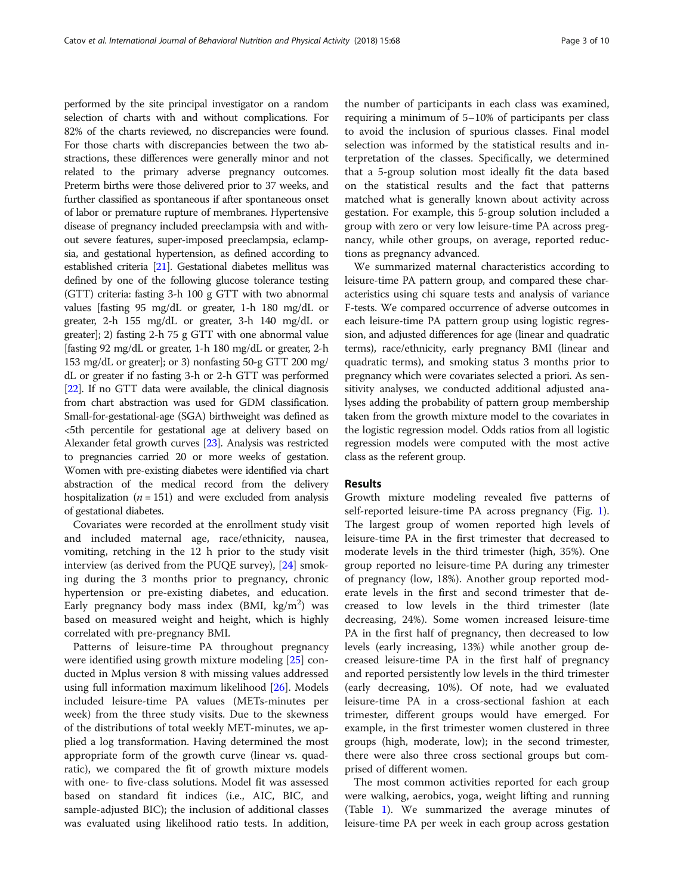performed by the site principal investigator on a random selection of charts with and without complications. For 82% of the charts reviewed, no discrepancies were found. For those charts with discrepancies between the two abstractions, these differences were generally minor and not related to the primary adverse pregnancy outcomes. Preterm births were those delivered prior to 37 weeks, and further classified as spontaneous if after spontaneous onset of labor or premature rupture of membranes. Hypertensive disease of pregnancy included preeclampsia with and without severe features, super-imposed preeclampsia, eclampsia, and gestational hypertension, as defined according to established criteria [\[21](#page-8-0)]. Gestational diabetes mellitus was defined by one of the following glucose tolerance testing (GTT) criteria: fasting 3-h 100 g GTT with two abnormal values [fasting 95 mg/dL or greater, 1-h 180 mg/dL or greater, 2-h 155 mg/dL or greater, 3-h 140 mg/dL or greater]; 2) fasting 2-h 75 g GTT with one abnormal value [fasting 92 mg/dL or greater, 1-h 180 mg/dL or greater, 2-h 153 mg/dL or greater]; or 3) nonfasting 50-g GTT 200 mg/ dL or greater if no fasting 3-h or 2-h GTT was performed [[22](#page-8-0)]. If no GTT data were available, the clinical diagnosis from chart abstraction was used for GDM classification. Small-for-gestational-age (SGA) birthweight was defined as <5th percentile for gestational age at delivery based on Alexander fetal growth curves [\[23\]](#page-8-0). Analysis was restricted to pregnancies carried 20 or more weeks of gestation. Women with pre-existing diabetes were identified via chart abstraction of the medical record from the delivery hospitalization ( $n = 151$ ) and were excluded from analysis of gestational diabetes.

Covariates were recorded at the enrollment study visit and included maternal age, race/ethnicity, nausea, vomiting, retching in the 12 h prior to the study visit interview (as derived from the PUQE survey), [\[24](#page-8-0)] smoking during the 3 months prior to pregnancy, chronic hypertension or pre-existing diabetes, and education. Early pregnancy body mass index  $(BMI, kg/m<sup>2</sup>)$  was based on measured weight and height, which is highly correlated with pre-pregnancy BMI.

Patterns of leisure-time PA throughout pregnancy were identified using growth mixture modeling [\[25\]](#page-9-0) conducted in Mplus version 8 with missing values addressed using full information maximum likelihood [[26\]](#page-9-0). Models included leisure-time PA values (METs-minutes per week) from the three study visits. Due to the skewness of the distributions of total weekly MET-minutes, we applied a log transformation. Having determined the most appropriate form of the growth curve (linear vs. quadratic), we compared the fit of growth mixture models with one- to five-class solutions. Model fit was assessed based on standard fit indices (i.e., AIC, BIC, and sample-adjusted BIC); the inclusion of additional classes was evaluated using likelihood ratio tests. In addition, the number of participants in each class was examined, requiring a minimum of 5–10% of participants per class to avoid the inclusion of spurious classes. Final model selection was informed by the statistical results and interpretation of the classes. Specifically, we determined that a 5-group solution most ideally fit the data based on the statistical results and the fact that patterns matched what is generally known about activity across gestation. For example, this 5-group solution included a group with zero or very low leisure-time PA across pregnancy, while other groups, on average, reported reductions as pregnancy advanced.

We summarized maternal characteristics according to leisure-time PA pattern group, and compared these characteristics using chi square tests and analysis of variance F-tests. We compared occurrence of adverse outcomes in each leisure-time PA pattern group using logistic regression, and adjusted differences for age (linear and quadratic terms), race/ethnicity, early pregnancy BMI (linear and quadratic terms), and smoking status 3 months prior to pregnancy which were covariates selected a priori. As sensitivity analyses, we conducted additional adjusted analyses adding the probability of pattern group membership taken from the growth mixture model to the covariates in the logistic regression model. Odds ratios from all logistic regression models were computed with the most active class as the referent group.

## Results

Growth mixture modeling revealed five patterns of self-reported leisure-time PA across pregnancy (Fig. [1](#page-3-0)). The largest group of women reported high levels of leisure-time PA in the first trimester that decreased to moderate levels in the third trimester (high, 35%). One group reported no leisure-time PA during any trimester of pregnancy (low, 18%). Another group reported moderate levels in the first and second trimester that decreased to low levels in the third trimester (late decreasing, 24%). Some women increased leisure-time PA in the first half of pregnancy, then decreased to low levels (early increasing, 13%) while another group decreased leisure-time PA in the first half of pregnancy and reported persistently low levels in the third trimester (early decreasing, 10%). Of note, had we evaluated leisure-time PA in a cross-sectional fashion at each trimester, different groups would have emerged. For example, in the first trimester women clustered in three groups (high, moderate, low); in the second trimester, there were also three cross sectional groups but comprised of different women.

The most common activities reported for each group were walking, aerobics, yoga, weight lifting and running (Table [1](#page-4-0)). We summarized the average minutes of leisure-time PA per week in each group across gestation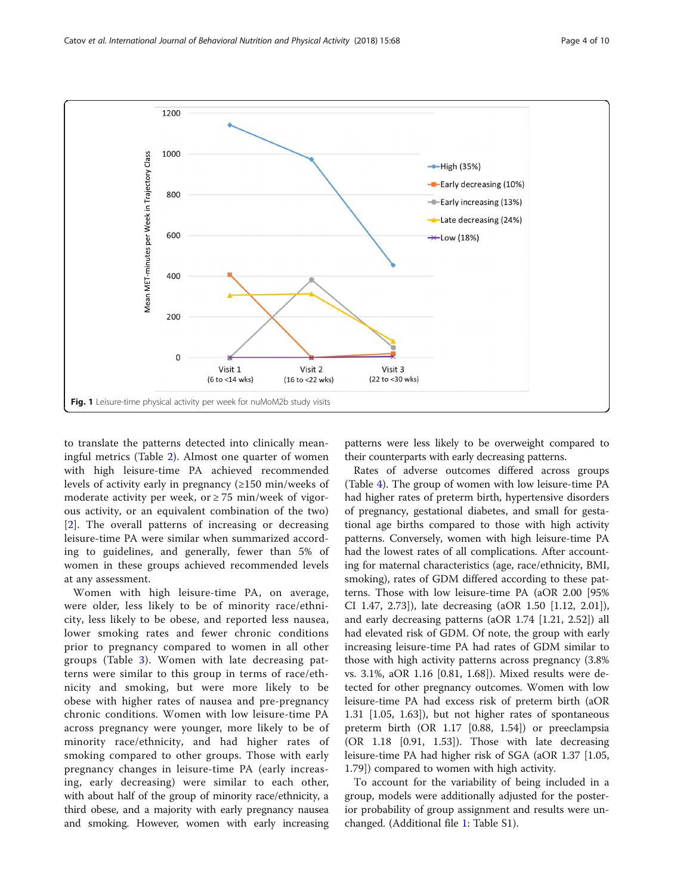<span id="page-3-0"></span>

to translate the patterns detected into clinically meaningful metrics (Table [2](#page-5-0)). Almost one quarter of women with high leisure-time PA achieved recommended levels of activity early in pregnancy  $(≥150 \text{ min/weeks of})$ moderate activity per week, or  $\geq$  75 min/week of vigorous activity, or an equivalent combination of the two) [[2\]](#page-8-0). The overall patterns of increasing or decreasing leisure-time PA were similar when summarized according to guidelines, and generally, fewer than 5% of women in these groups achieved recommended levels at any assessment.

Women with high leisure-time PA, on average, were older, less likely to be of minority race/ethnicity, less likely to be obese, and reported less nausea, lower smoking rates and fewer chronic conditions prior to pregnancy compared to women in all other groups (Table [3](#page-5-0)). Women with late decreasing patterns were similar to this group in terms of race/ethnicity and smoking, but were more likely to be obese with higher rates of nausea and pre-pregnancy chronic conditions. Women with low leisure-time PA across pregnancy were younger, more likely to be of minority race/ethnicity, and had higher rates of smoking compared to other groups. Those with early pregnancy changes in leisure-time PA (early increasing, early decreasing) were similar to each other, with about half of the group of minority race/ethnicity, a third obese, and a majority with early pregnancy nausea and smoking. However, women with early increasing patterns were less likely to be overweight compared to their counterparts with early decreasing patterns.

Rates of adverse outcomes differed across groups (Table [4](#page-6-0)). The group of women with low leisure-time PA had higher rates of preterm birth, hypertensive disorders of pregnancy, gestational diabetes, and small for gestational age births compared to those with high activity patterns. Conversely, women with high leisure-time PA had the lowest rates of all complications. After accounting for maternal characteristics (age, race/ethnicity, BMI, smoking), rates of GDM differed according to these patterns. Those with low leisure-time PA (aOR 2.00 [95% CI 1.47, 2.73]), late decreasing (aOR 1.50 [1.12, 2.01]), and early decreasing patterns (aOR 1.74 [1.21, 2.52]) all had elevated risk of GDM. Of note, the group with early increasing leisure-time PA had rates of GDM similar to those with high activity patterns across pregnancy (3.8% vs. 3.1%, aOR 1.16 [0.81, 1.68]). Mixed results were detected for other pregnancy outcomes. Women with low leisure-time PA had excess risk of preterm birth (aOR 1.31 [1.05, 1.63]), but not higher rates of spontaneous preterm birth (OR 1.17 [0.88, 1.54]) or preeclampsia (OR 1.18 [0.91, 1.53]). Those with late decreasing leisure-time PA had higher risk of SGA (aOR 1.37 [1.05, 1.79]) compared to women with high activity.

To account for the variability of being included in a group, models were additionally adjusted for the posterior probability of group assignment and results were unchanged. (Additional file [1](#page-7-0): Table S1).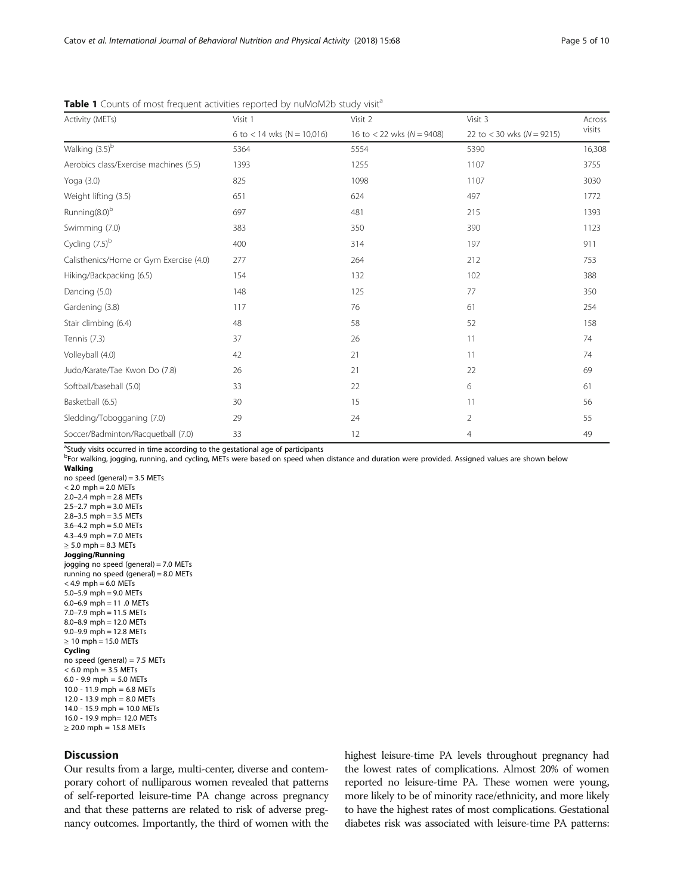| Activity (METs)                         | Visit 1                      | Visit 2                         | Visit 3                         | Across |  |
|-----------------------------------------|------------------------------|---------------------------------|---------------------------------|--------|--|
|                                         | 6 to $<$ 14 wks (N = 10,016) | 16 to $<$ 22 wks ( $N = 9408$ ) | 22 to $<$ 30 wks ( $N = 9215$ ) | visits |  |
| Walking (3.5) <sup>b</sup>              | 5364                         | 5554                            | 5390                            | 16,308 |  |
| Aerobics class/Exercise machines (5.5)  | 1393                         | 1255                            | 1107                            | 3755   |  |
| Yoga (3.0)                              | 825                          | 1098                            | 1107                            | 3030   |  |
| Weight lifting (3.5)                    | 651                          | 624                             | 497                             | 1772   |  |
| Running(8.0) <sup>b</sup>               | 697                          | 481                             | 215                             | 1393   |  |
| Swimming (7.0)                          | 383                          | 350                             | 390                             | 1123   |  |
| Cycling $(7.5)^b$                       | 400                          | 314                             | 197                             | 911    |  |
| Calisthenics/Home or Gym Exercise (4.0) | 277                          | 264                             | 212                             | 753    |  |
| Hiking/Backpacking (6.5)                | 154                          | 132                             | 102                             | 388    |  |
| Dancing (5.0)                           | 148                          | 125                             | 77                              | 350    |  |
| Gardening (3.8)                         | 117                          | 76                              | 61                              | 254    |  |
| Stair climbing (6.4)                    | 48                           | 58                              | 52                              | 158    |  |
| Tennis (7.3)                            | 37                           | 26                              | 11                              | 74     |  |
| Volleyball (4.0)                        | 42                           | 21                              | 11                              | 74     |  |
| Judo/Karate/Tae Kwon Do (7.8)           | 26                           | 21                              | 22                              | 69     |  |
| Softball/baseball (5.0)                 | 33                           | 22                              | 6                               | 61     |  |
| Basketball (6.5)                        | 30                           | 15                              | 11                              | 56     |  |
| Sledding/Tobogganing (7.0)              | 29                           | 24                              | $\overline{2}$                  | 55     |  |
| Soccer/Badminton/Racquetball (7.0)      | 33                           | 12                              | 4                               | 49     |  |

<span id="page-4-0"></span>Table 1 Counts of most frequent activities reported by nuMoM2b study visit<sup>a</sup>

<sup>a</sup>Study visits occurred in time according to the gestational age of participants

b<br>Pror walking, jogging, running, and cycling, METs were based on speed when distance and duration were provided. Assigned values are shown below Walking

no speed (general) =  $3.5$  METs  $< 2.0$  mph = 2.0 METs 2.0–2.4 mph = 2.8 METs  $2.5 - 2.7$  mph = 3.0 METs  $2.8 - 3.5$  mph = 3.5 METs  $3.6 - 4.2$  mph = 5.0 METs 4.3–4.9 mph = 7.0 METs  $\geq$  5.0 mph = 8.3 METs Jogging/Running jogging no speed (general) = 7.0 METs running no speed (general) = 8.0 METs  $<$  4.9 mph = 6.0 METs 5.0–5.9 mph = 9.0 METs 6.0–6.9 mph = 11 .0 METs 7.0–7.9 mph = 11.5 METs 8.0–8.9 mph = 12.0 METs 9.0–9.9 mph = 12.8 METs  $\geq 10$  mph = 15.0 METs Cycling no speed (general) = 7.5 METs  $< 6.0$  mph = 3.5 METs 6.0 - 9.9 mph = 5.0 METs 10.0 - 11.9 mph = 6.8 METs 12.0 - 13.9 mph = 8.0 METs 14.0 - 15.9 mph = 10.0 METs 16.0 - 19.9 mph= 12.0 METs  $≥ 20.0$  mph = 15.8 METs

## **Discussion**

Our results from a large, multi-center, diverse and contemporary cohort of nulliparous women revealed that patterns of self-reported leisure-time PA change across pregnancy and that these patterns are related to risk of adverse pregnancy outcomes. Importantly, the third of women with the highest leisure-time PA levels throughout pregnancy had the lowest rates of complications. Almost 20% of women reported no leisure-time PA. These women were young, more likely to be of minority race/ethnicity, and more likely to have the highest rates of most complications. Gestational diabetes risk was associated with leisure-time PA patterns: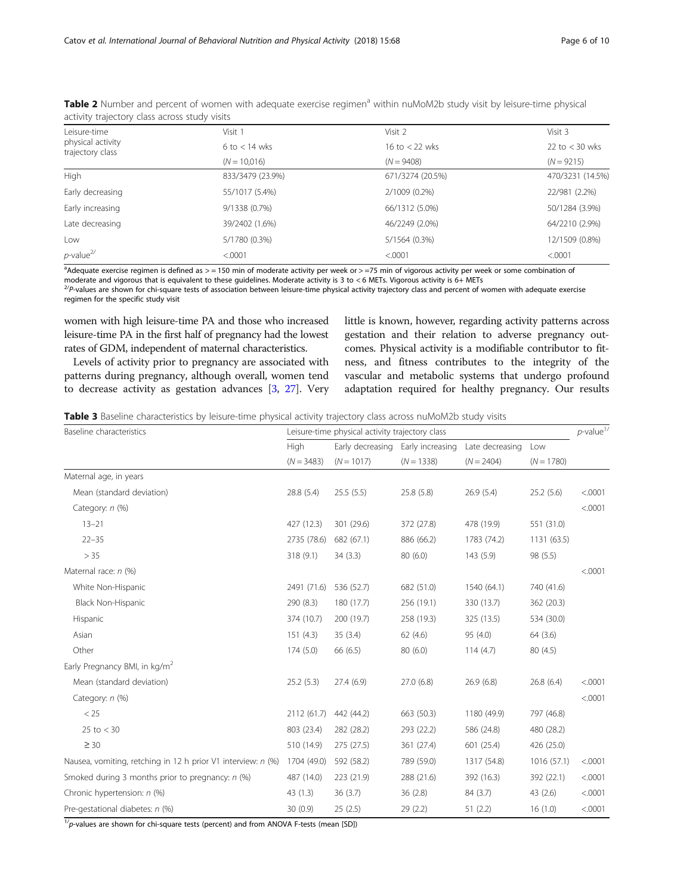| dClivity trajectory class dcross study visits         |                   |                  |                  |  |
|-------------------------------------------------------|-------------------|------------------|------------------|--|
| Leisure-time<br>physical activity<br>trajectory class | Visit 1           | Visit 2          | Visit 3          |  |
|                                                       | $6$ to $<$ 14 wks | 16 to $<$ 22 wks | 22 to $<$ 30 wks |  |
|                                                       | $(N = 10,016)$    | $(N = 9408)$     | $(N = 9215)$     |  |
| High                                                  | 833/3479 (23.9%)  | 671/3274 (20.5%) | 470/3231 (14.5%) |  |
| Early decreasing                                      | 55/1017 (5.4%)    | 2/1009 (0.2%)    | 22/981 (2.2%)    |  |
| Early increasing                                      | 9/1338 (0.7%)     | 66/1312 (5.0%)   | 50/1284 (3.9%)   |  |
| Late decreasing                                       | 39/2402 (1.6%)    | 46/2249 (2.0%)   | 64/2210 (2.9%)   |  |
| Low                                                   | 5/1780 (0.3%)     | 5/1564 (0.3%)    | 12/1509 (0.8%)   |  |
| $p$ -value $^{2/}$                                    | < 0001            | < 0001           | < .0001          |  |

<span id="page-5-0"></span>

| Table 2 Number and percent of women with adequate exercise regimen <sup>a</sup> within nuMoM2b study visit by leisure-time physical |  |
|-------------------------------------------------------------------------------------------------------------------------------------|--|
| activity trajectory class across study visits                                                                                       |  |

a<br>Adequate exercise regimen is defined as > = 150 min of moderate activity per week or > =75 min of vigorous activity per week or some combination of moderate and vigorous that is equivalent to these guidelines. Moderate activity is 3 to < 6 METs. Vigorous activity is 6+ METs

2/P-values are shown for chi-square tests of association between leisure-time physical activity trajectory class and percent of women with adequate exercise regimen for the specific study visit

women with high leisure-time PA and those who increased leisure-time PA in the first half of pregnancy had the lowest rates of GDM, independent of maternal characteristics.

Levels of activity prior to pregnancy are associated with patterns during pregnancy, although overall, women tend to decrease activity as gestation advances [\[3,](#page-8-0) [27](#page-9-0)]. Very little is known, however, regarding activity patterns across gestation and their relation to adverse pregnancy outcomes. Physical activity is a modifiable contributor to fitness, and fitness contributes to the integrity of the vascular and metabolic systems that undergo profound adaptation required for healthy pregnancy. Our results

Table 3 Baseline characteristics by leisure-time physical activity trajectory class across nuMoM2b study visits

| Baseline characteristics                                     | Leisure-time physical activity trajectory class |                                                   |              |                                 |                     | $p$ -value <sup>1/</sup> |
|--------------------------------------------------------------|-------------------------------------------------|---------------------------------------------------|--------------|---------------------------------|---------------------|--------------------------|
|                                                              | High<br>$(N = 3483)$                            | Early decreasing Early increasing<br>$(N = 1017)$ | $(N = 1338)$ | Late decreasing<br>$(N = 2404)$ | Low<br>$(N = 1780)$ |                          |
|                                                              |                                                 |                                                   |              |                                 |                     |                          |
| Maternal age, in years                                       |                                                 |                                                   |              |                                 |                     |                          |
| Mean (standard deviation)                                    | 28.8 (5.4)                                      | 25.5(5.5)                                         | 25.8 (5.8)   | 26.9(5.4)                       | 25.2(5.6)           | < .0001                  |
| Category: n (%)                                              |                                                 |                                                   |              |                                 |                     | < .0001                  |
| $13 - 21$                                                    | 427 (12.3)                                      | 301 (29.6)                                        | 372 (27.8)   | 478 (19.9)                      | 551 (31.0)          |                          |
| $22 - 35$                                                    | 2735 (78.6)                                     | 682 (67.1)                                        | 886 (66.2)   | 1783 (74.2)                     | 1131(63.5)          |                          |
| > 35                                                         | 318 (9.1)                                       | 34(3.3)                                           | 80 (6.0)     | 143(5.9)                        | 98 (5.5)            |                          |
| Maternal race: n (%)                                         |                                                 |                                                   |              |                                 |                     | < .0001                  |
| White Non-Hispanic                                           | 2491 (71.6)                                     | 536 (52.7)                                        | 682 (51.0)   | 1540 (64.1)                     | 740 (41.6)          |                          |
| <b>Black Non-Hispanic</b>                                    | 290 (8.3)                                       | 180 (17.7)                                        | 256 (19.1)   | 330 (13.7)                      | 362 (20.3)          |                          |
| Hispanic                                                     | 374 (10.7)                                      | 200 (19.7)                                        | 258 (19.3)   | 325 (13.5)                      | 534 (30.0)          |                          |
| Asian                                                        | 151(4.3)                                        | 35(3.4)                                           | 62(4.6)      | 95 (4.0)                        | 64 (3.6)            |                          |
| Other                                                        | 174(5.0)                                        | 66 (6.5)                                          | 80(6.0)      | 114(4.7)                        | 80 (4.5)            |                          |
| Early Pregnancy BMI, in kg/m <sup>2</sup>                    |                                                 |                                                   |              |                                 |                     |                          |
| Mean (standard deviation)                                    | 25.2(5.3)                                       | 27.4(6.9)                                         | 27.0 (6.8)   | 26.9(6.8)                       | 26.8 (6.4)          | < .0001                  |
| Category: n (%)                                              |                                                 |                                                   |              |                                 |                     | < .0001                  |
| < 25                                                         | 2112 (61.7)                                     | 442 (44.2)                                        | 663 (50.3)   | 1180 (49.9)                     | 797 (46.8)          |                          |
| $25$ to $<$ 30                                               | 803 (23.4)                                      | 282 (28.2)                                        | 293 (22.2)   | 586 (24.8)                      | 480 (28.2)          |                          |
| $\geq 30$                                                    | 510 (14.9)                                      | 275 (27.5)                                        | 361 (27.4)   | 601 (25.4)                      | 426 (25.0)          |                          |
| Nausea, vomiting, retching in 12 h prior V1 interview: n (%) | 1704 (49.0)                                     | 592 (58.2)                                        | 789 (59.0)   | 1317 (54.8)                     | 1016 (57.1)         | < .0001                  |
| Smoked during 3 months prior to pregnancy: n (%)             | 487 (14.0)                                      | 223 (21.9)                                        | 288 (21.6)   | 392 (16.3)                      | 392 (22.1)          | < .0001                  |
| Chronic hypertension: n (%)                                  | 43(1.3)                                         | 36(3.7)                                           | 36(2.8)      | 84 (3.7)                        | 43 (2.6)            | < .0001                  |
| Pre-gestational diabetes: n (%)                              | 30(0.9)                                         | 25(2.5)                                           | 29(2.2)      | 51(2.2)                         | 16(1.0)             | < .0001                  |

 $1/p$ -values are shown for chi-square tests (percent) and from ANOVA F-tests (mean [SD])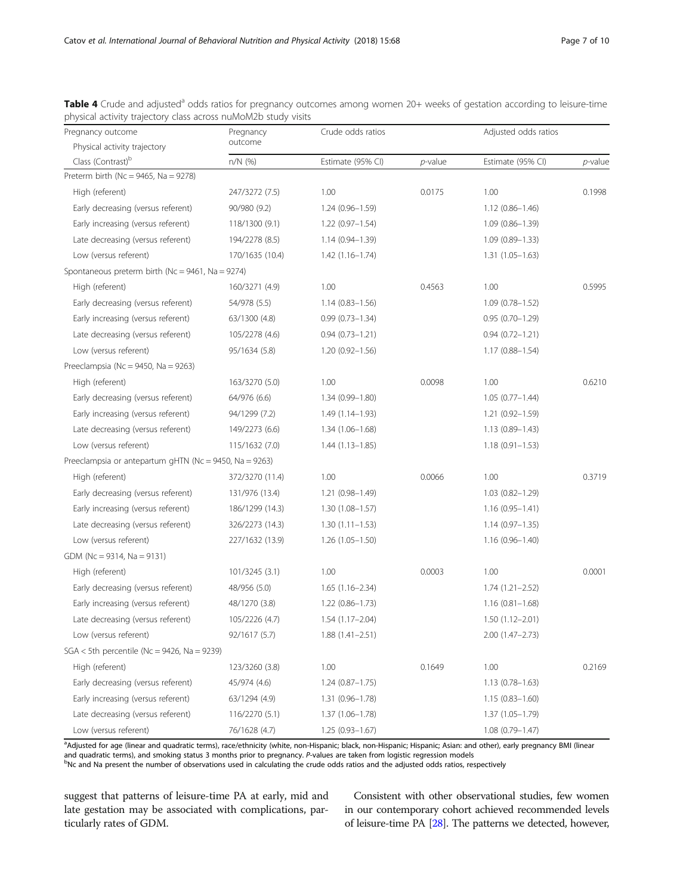| Pregnancy outcome                                      | Pregnancy       | Crude odds ratios   |            | Adjusted odds ratios |            |
|--------------------------------------------------------|-----------------|---------------------|------------|----------------------|------------|
| Physical activity trajectory                           | outcome         |                     |            |                      |            |
| Class (Contrast) <sup>b</sup>                          | $n/N$ (%)       | Estimate (95% CI)   | $p$ -value | Estimate (95% CI)    | $p$ -value |
| Preterm birth (Nc = 9465, Na = 9278)                   |                 |                     |            |                      |            |
| High (referent)                                        | 247/3272 (7.5)  | 1.00                | 0.0175     | 1.00                 | 0.1998     |
| Early decreasing (versus referent)                     | 90/980 (9.2)    | $1.24(0.96 - 1.59)$ |            | $1.12(0.86 - 1.46)$  |            |
| Early increasing (versus referent)                     | 118/1300 (9.1)  | $1.22(0.97 - 1.54)$ |            | $1.09(0.86 - 1.39)$  |            |
| Late decreasing (versus referent)                      | 194/2278 (8.5)  | $1.14(0.94 - 1.39)$ |            | $1.09(0.89 - 1.33)$  |            |
| Low (versus referent)                                  | 170/1635 (10.4) | $1.42(1.16 - 1.74)$ |            | $1.31(1.05 - 1.63)$  |            |
| Spontaneous preterm birth (Nc = $9461$ , Na = $9274$ ) |                 |                     |            |                      |            |
| High (referent)                                        | 160/3271 (4.9)  | 1.00                | 0.4563     | 1.00                 | 0.5995     |
| Early decreasing (versus referent)                     | 54/978 (5.5)    | $1.14(0.83 - 1.56)$ |            | $1.09(0.78 - 1.52)$  |            |
| Early increasing (versus referent)                     | 63/1300 (4.8)   | $0.99(0.73 - 1.34)$ |            | $0.95(0.70 - 1.29)$  |            |
| Late decreasing (versus referent)                      | 105/2278 (4.6)  | $0.94(0.73 - 1.21)$ |            | $0.94(0.72 - 1.21)$  |            |
| Low (versus referent)                                  | 95/1634 (5.8)   | $1.20(0.92 - 1.56)$ |            | $1.17(0.88 - 1.54)$  |            |
| Preeclampsia (Nc = 9450, Na = 9263)                    |                 |                     |            |                      |            |
| High (referent)                                        | 163/3270 (5.0)  | 1.00                | 0.0098     | 1.00                 | 0.6210     |
| Early decreasing (versus referent)                     | 64/976 (6.6)    | 1.34 (0.99-1.80)    |            | $1.05(0.77 - 1.44)$  |            |
| Early increasing (versus referent)                     | 94/1299 (7.2)   | 1.49 (1.14–1.93)    |            | $1.21(0.92 - 1.59)$  |            |
| Late decreasing (versus referent)                      | 149/2273 (6.6)  | $1.34(1.06 - 1.68)$ |            | $1.13(0.89 - 1.43)$  |            |
| Low (versus referent)                                  | 115/1632 (7.0)  | $1.44(1.13 - 1.85)$ |            | $1.18(0.91 - 1.53)$  |            |
| Preeclampsia or antepartum gHTN (Nc = 9450, Na = 9263) |                 |                     |            |                      |            |
| High (referent)                                        | 372/3270 (11.4) | 1.00                | 0.0066     | 1.00                 | 0.3719     |
| Early decreasing (versus referent)                     | 131/976 (13.4)  | 1.21 (0.98-1.49)    |            | $1.03(0.82 - 1.29)$  |            |
| Early increasing (versus referent)                     | 186/1299 (14.3) | $1.30(1.08 - 1.57)$ |            | $1.16(0.95 - 1.41)$  |            |
| Late decreasing (versus referent)                      | 326/2273 (14.3) | $1.30(1.11 - 1.53)$ |            | $1.14(0.97 - 1.35)$  |            |
| Low (versus referent)                                  | 227/1632 (13.9) | $1.26(1.05 - 1.50)$ |            | $1.16(0.96 - 1.40)$  |            |
| GDM (Nc = 9314, Na = 9131)                             |                 |                     |            |                      |            |
| High (referent)                                        | 101/3245 (3.1)  | 1.00                | 0.0003     | 1.00                 | 0.0001     |
| Early decreasing (versus referent)                     | 48/956 (5.0)    | $1.65(1.16-2.34)$   |            | $1.74(1.21 - 2.52)$  |            |
| Early increasing (versus referent)                     | 48/1270 (3.8)   | $1.22(0.86 - 1.73)$ |            | $1.16(0.81 - 1.68)$  |            |
| Late decreasing (versus referent)                      | 105/2226 (4.7)  | $1.54(1.17-2.04)$   |            | $1.50(1.12 - 2.01)$  |            |
| Low (versus referent)                                  | 92/1617 (5.7)   | $1.88(1.41 - 2.51)$ |            | 2.00 (1.47-2.73)     |            |
| $SGA < 5$ th percentile (Nc = 9426, Na = 9239)         |                 |                     |            |                      |            |
| High (referent)                                        | 123/3260 (3.8)  | 1.00                | 0.1649     | 1.00                 | 0.2169     |
| Early decreasing (versus referent)                     | 45/974 (4.6)    | $1.24(0.87 - 1.75)$ |            | $1.13(0.78 - 1.63)$  |            |
| Early increasing (versus referent)                     | 63/1294 (4.9)   | $1.31(0.96 - 1.78)$ |            | $1.15(0.83 - 1.60)$  |            |
| Late decreasing (versus referent)                      | 116/2270 (5.1)  | 1.37 (1.06-1.78)    |            | 1.37 (1.05-1.79)     |            |
| Low (versus referent)                                  | 76/1628 (4.7)   | $1.25(0.93 - 1.67)$ |            | $1.08(0.79 - 1.47)$  |            |

<span id="page-6-0"></span>Table 4 Crude and adjusted<sup>a</sup> odds ratios for pregnancy outcomes among women 20+ weeks of gestation according to leisure-time physical activity trajectory class across nuMoM2b study visits

a<br>Adjusted for age (linear and quadratic terms), race/ethnicity (white, non-Hispanic; black, non-Hispanic; Hispanic; Asian: and other), early pregnancy BMI (linear and quadratic terms), and smoking status 3 months prior to pregnancy. P-values are taken from logistic regression models

 $b$ Nc and Na present the number of observations used in calculating the crude odds ratios and the adjusted odds ratios, respectively

suggest that patterns of leisure-time PA at early, mid and late gestation may be associated with complications, particularly rates of GDM.

Consistent with other observational studies, few women in our contemporary cohort achieved recommended levels of leisure-time PA [\[28](#page-9-0)]. The patterns we detected, however,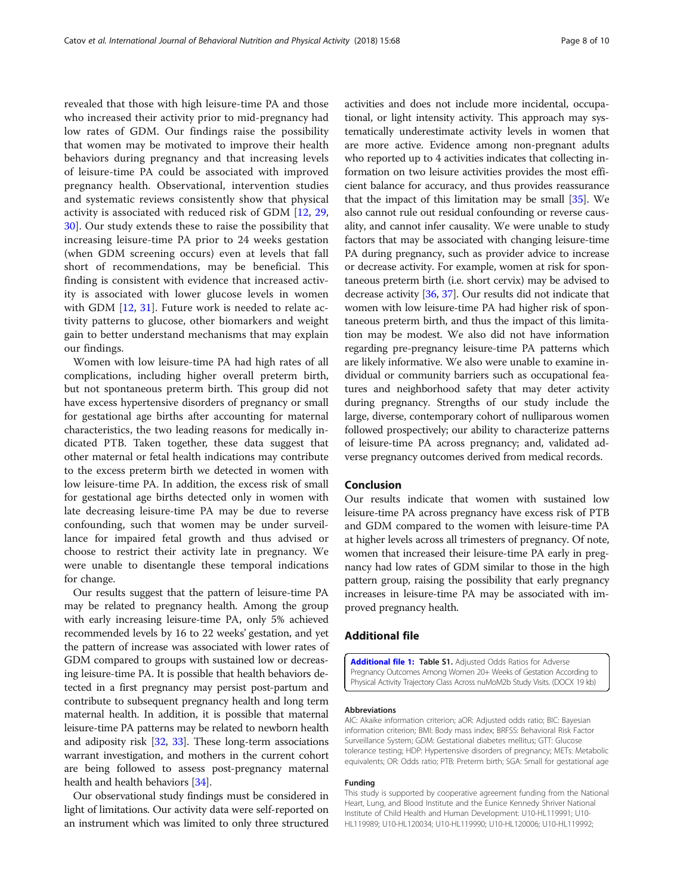<span id="page-7-0"></span>revealed that those with high leisure-time PA and those who increased their activity prior to mid-pregnancy had low rates of GDM. Our findings raise the possibility that women may be motivated to improve their health behaviors during pregnancy and that increasing levels of leisure-time PA could be associated with improved pregnancy health. Observational, intervention studies and systematic reviews consistently show that physical activity is associated with reduced risk of GDM [[12,](#page-8-0) [29](#page-9-0), [30\]](#page-9-0). Our study extends these to raise the possibility that increasing leisure-time PA prior to 24 weeks gestation (when GDM screening occurs) even at levels that fall short of recommendations, may be beneficial. This finding is consistent with evidence that increased activity is associated with lower glucose levels in women with GDM  $[12, 31]$  $[12, 31]$  $[12, 31]$ . Future work is needed to relate activity patterns to glucose, other biomarkers and weight gain to better understand mechanisms that may explain our findings.

Women with low leisure-time PA had high rates of all complications, including higher overall preterm birth, but not spontaneous preterm birth. This group did not have excess hypertensive disorders of pregnancy or small for gestational age births after accounting for maternal characteristics, the two leading reasons for medically indicated PTB. Taken together, these data suggest that other maternal or fetal health indications may contribute to the excess preterm birth we detected in women with low leisure-time PA. In addition, the excess risk of small for gestational age births detected only in women with late decreasing leisure-time PA may be due to reverse confounding, such that women may be under surveillance for impaired fetal growth and thus advised or choose to restrict their activity late in pregnancy. We were unable to disentangle these temporal indications for change.

Our results suggest that the pattern of leisure-time PA may be related to pregnancy health. Among the group with early increasing leisure-time PA, only 5% achieved recommended levels by 16 to 22 weeks' gestation, and yet the pattern of increase was associated with lower rates of GDM compared to groups with sustained low or decreasing leisure-time PA. It is possible that health behaviors detected in a first pregnancy may persist post-partum and contribute to subsequent pregnancy health and long term maternal health. In addition, it is possible that maternal leisure-time PA patterns may be related to newborn health and adiposity risk [[32](#page-9-0), [33\]](#page-9-0). These long-term associations warrant investigation, and mothers in the current cohort are being followed to assess post-pregnancy maternal health and health behaviors [\[34\]](#page-9-0).

Our observational study findings must be considered in light of limitations. Our activity data were self-reported on an instrument which was limited to only three structured activities and does not include more incidental, occupational, or light intensity activity. This approach may systematically underestimate activity levels in women that are more active. Evidence among non-pregnant adults who reported up to 4 activities indicates that collecting information on two leisure activities provides the most efficient balance for accuracy, and thus provides reassurance that the impact of this limitation may be small [[35](#page-9-0)]. We also cannot rule out residual confounding or reverse causality, and cannot infer causality. We were unable to study factors that may be associated with changing leisure-time PA during pregnancy, such as provider advice to increase or decrease activity. For example, women at risk for spontaneous preterm birth (i.e. short cervix) may be advised to decrease activity [\[36,](#page-9-0) [37](#page-9-0)]. Our results did not indicate that women with low leisure-time PA had higher risk of spontaneous preterm birth, and thus the impact of this limitation may be modest. We also did not have information regarding pre-pregnancy leisure-time PA patterns which are likely informative. We also were unable to examine individual or community barriers such as occupational features and neighborhood safety that may deter activity during pregnancy. Strengths of our study include the large, diverse, contemporary cohort of nulliparous women followed prospectively; our ability to characterize patterns of leisure-time PA across pregnancy; and, validated adverse pregnancy outcomes derived from medical records.

## Conclusion

Our results indicate that women with sustained low leisure-time PA across pregnancy have excess risk of PTB and GDM compared to the women with leisure-time PA at higher levels across all trimesters of pregnancy. Of note, women that increased their leisure-time PA early in pregnancy had low rates of GDM similar to those in the high pattern group, raising the possibility that early pregnancy increases in leisure-time PA may be associated with improved pregnancy health.

## Additional file

[Additional file 1:](https://doi.org/10.1186/s12966-018-0701-5) Table S1. Adjusted Odds Ratios for Adverse Pregnancy Outcomes Among Women 20+ Weeks of Gestation According to Physical Activity Trajectory Class Across nuMoM2b Study Visits. (DOCX 19 kb)

#### Abbreviations

AIC: Akaike information criterion; aOR: Adjusted odds ratio; BIC: Bayesian information criterion; BMI: Body mass index; BRFSS: Behavioral Risk Factor Surveillance System; GDM: Gestational diabetes mellitus; GTT: Glucose tolerance testing; HDP: Hypertensive disorders of pregnancy; METs: Metabolic equivalents; OR: Odds ratio; PTB: Preterm birth; SGA: Small for gestational age

#### Funding

This study is supported by cooperative agreement funding from the National Heart, Lung, and Blood Institute and the Eunice Kennedy Shriver National Institute of Child Health and Human Development: U10-HL119991; U10- HL119989; U10-HL120034; U10-HL119990; U10-HL120006; U10-HL119992;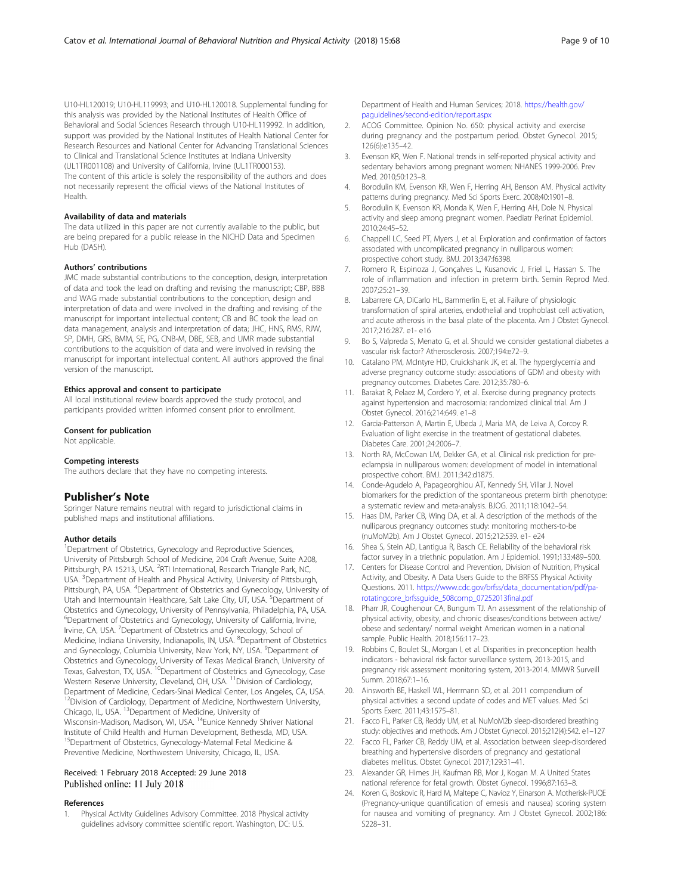<span id="page-8-0"></span>U10-HL120019; U10-HL119993; and U10-HL120018. Supplemental funding for this analysis was provided by the National Institutes of Health Office of Behavioral and Social Sciences Research through U10-HL119992. In addition, support was provided by the National Institutes of Health National Center for Research Resources and National Center for Advancing Translational Sciences to Clinical and Translational Science Institutes at Indiana University (UL1TR001108) and University of California, Irvine (UL1TR000153). The content of this article is solely the responsibility of the authors and does not necessarily represent the official views of the National Institutes of Health.

#### Availability of data and materials

The data utilized in this paper are not currently available to the public, but are being prepared for a public release in the NICHD Data and Specimen Hub (DASH).

#### Authors' contributions

JMC made substantial contributions to the conception, design, interpretation of data and took the lead on drafting and revising the manuscript; CBP, BBB and WAG made substantial contributions to the conception, design and interpretation of data and were involved in the drafting and revising of the manuscript for important intellectual content; CB and BC took the lead on data management, analysis and interpretation of data; JHC, HNS, RMS, RJW, SP, DMH, GRS, BMM, SE, PG, CNB-M, DBE, SEB, and UMR made substantial contributions to the acquisition of data and were involved in revising the manuscript for important intellectual content. All authors approved the final version of the manuscript.

#### Ethics approval and consent to participate

All local institutional review boards approved the study protocol, and participants provided written informed consent prior to enrollment.

#### Consent for publication

Not applicable.

#### Competing interests

The authors declare that they have no competing interests.

## Publisher's Note

Springer Nature remains neutral with regard to jurisdictional claims in published maps and institutional affiliations.

#### Author details

<sup>1</sup>Department of Obstetrics, Gynecology and Reproductive Sciences, University of Pittsburgh School of Medicine, 204 Craft Avenue, Suite A208, Pittsburgh, PA 15213, USA. <sup>2</sup>RTI International, Research Triangle Park, NC, USA. <sup>3</sup>Department of Health and Physical Activity, University of Pittsburgh, Pittsburgh, PA, USA. <sup>4</sup>Department of Obstetrics and Gynecology, University of Utah and Intermountain Healthcare, Salt Lake City, UT, USA. <sup>5</sup>Department of Obstetrics and Gynecology, University of Pennsylvania, Philadelphia, PA, USA. 6 Department of Obstetrics and Gynecology, University of California, Irvine, Irvine, CA, USA. <sup>7</sup>Department of Obstetrics and Gynecology, School of Medicine, Indiana University, Indianapolis, IN, USA. <sup>8</sup>Department of Obstetrics and Gynecology, Columbia University, New York, NY, USA. <sup>9</sup>Department of Obstetrics and Gynecology, University of Texas Medical Branch, University of Texas, Galveston, TX, USA. <sup>10</sup>Department of Obstetrics and Gynecology, Case Western Reserve University, Cleveland, OH, USA. <sup>11</sup> Division of Cardiology, Department of Medicine, Cedars-Sinai Medical Center, Los Angeles, CA, USA. <sup>12</sup>Division of Cardiology, Department of Medicine, Northwestern University, Chicago, IL, USA. <sup>13</sup>Department of Medicine, University of Wisconsin-Madison, Madison, WI, USA. 14Eunice Kennedy Shriver National Institute of Child Health and Human Development, Bethesda, MD, USA. <sup>15</sup>Department of Obstetrics, Gynecology-Maternal Fetal Medicine & Preventive Medicine, Northwestern University, Chicago, IL, USA.

### Received: 1 February 2018 Accepted: 29 June 2018 Published online: 11 July 2018

#### References

1. Physical Activity Guidelines Advisory Committee. 2018 Physical activity guidelines advisory committee scientific report. Washington, DC: U.S.

Department of Health and Human Services; 2018. [https://health.gov/](https://health.gov/paguidelines/second-edition/report.aspx) [paguidelines/second-edition/report.aspx](https://health.gov/paguidelines/second-edition/report.aspx)

- 2. ACOG Committee. Opinion No. 650: physical activity and exercise during pregnancy and the postpartum period. Obstet Gynecol. 2015; 126(6):e135–42.
- 3. Evenson KR, Wen F. National trends in self-reported physical activity and sedentary behaviors among pregnant women: NHANES 1999-2006. Prev Med. 2010;50:123–8.
- 4. Borodulin KM, Evenson KR, Wen F, Herring AH, Benson AM. Physical activity patterns during pregnancy. Med Sci Sports Exerc. 2008;40:1901–8.
- 5. Borodulin K, Evenson KR, Monda K, Wen F, Herring AH, Dole N. Physical activity and sleep among pregnant women. Paediatr Perinat Epidemiol. 2010;24:45–52.
- 6. Chappell LC, Seed PT, Myers J, et al. Exploration and confirmation of factors associated with uncomplicated pregnancy in nulliparous women: prospective cohort study. BMJ. 2013;347:f6398.
- 7. Romero R, Espinoza J, Gonçalves L, Kusanovic J, Friel L, Hassan S. The role of inflammation and infection in preterm birth. Semin Reprod Med. 2007;25:21–39.
- 8. Labarrere CA, DiCarlo HL, Bammerlin E, et al. Failure of physiologic transformation of spiral arteries, endothelial and trophoblast cell activation, and acute atherosis in the basal plate of the placenta. Am J Obstet Gynecol. 2017;216:287. e1- e16
- 9. Bo S, Valpreda S, Menato G, et al. Should we consider gestational diabetes a vascular risk factor? Atherosclerosis. 2007;194:e72–9.
- 10. Catalano PM, McIntyre HD, Cruickshank JK, et al. The hyperglycemia and adverse pregnancy outcome study: associations of GDM and obesity with pregnancy outcomes. Diabetes Care. 2012;35:780–6.
- 11. Barakat R, Pelaez M, Cordero Y, et al. Exercise during pregnancy protects against hypertension and macrosomia: randomized clinical trial. Am J Obstet Gynecol. 2016;214:649. e1–8
- 12. Garcia-Patterson A, Martin E, Ubeda J, Maria MA, de Leiva A, Corcoy R. Evaluation of light exercise in the treatment of gestational diabetes. Diabetes Care. 2001;24:2006–7.
- 13. North RA, McCowan LM, Dekker GA, et al. Clinical risk prediction for preeclampsia in nulliparous women: development of model in international prospective cohort. BMJ. 2011;342:d1875.
- 14. Conde-Agudelo A, Papageorghiou AT, Kennedy SH, Villar J. Novel biomarkers for the prediction of the spontaneous preterm birth phenotype: a systematic review and meta-analysis. BJOG. 2011;118:1042–54.
- 15. Haas DM, Parker CB, Wing DA, et al. A description of the methods of the nulliparous pregnancy outcomes study: monitoring mothers-to-be (nuMoM2b). Am J Obstet Gynecol. 2015;212:539. e1- e24
- 16. Shea S, Stein AD, Lantigua R, Basch CE. Reliability of the behavioral risk factor survey in a triethnic population. Am J Epidemiol. 1991;133:489–500.
- 17. Centers for Disease Control and Prevention, Division of Nutrition, Physical Activity, and Obesity. A Data Users Guide to the BRFSS Physical Activity Questions. 2011. [https://www.cdc.gov/brfss/data\\_documentation/pdf/pa](https://www.cdc.gov/brfss/data_documentation/pdf/pa-rotatingcore_brfssguide_508comp_07252013final.pdf)[rotatingcore\\_brfssguide\\_508comp\\_07252013final.pdf](https://www.cdc.gov/brfss/data_documentation/pdf/pa-rotatingcore_brfssguide_508comp_07252013final.pdf)
- 18. Pharr JR, Coughenour CA, Bungum TJ. An assessment of the relationship of physical activity, obesity, and chronic diseases/conditions between active/ obese and sedentary/ normal weight American women in a national sample. Public Health. 2018;156:117–23.
- 19. Robbins C, Boulet SL, Morgan I, et al. Disparities in preconception health indicators - behavioral risk factor surveillance system, 2013-2015, and pregnancy risk assessment monitoring system, 2013-2014. MMWR Surveill Summ. 2018;67:1–16.
- 20. Ainsworth BE, Haskell WL, Herrmann SD, et al. 2011 compendium of physical activities: a second update of codes and MET values. Med Sci Sports Exerc. 2011;43:1575–81.
- 21. Facco FL, Parker CB, Reddy UM, et al. NuMoM2b sleep-disordered breathing study: objectives and methods. Am J Obstet Gynecol. 2015;212(4):542. e1–127
- 22. Facco FL, Parker CB, Reddy UM, et al. Association between sleep-disordered breathing and hypertensive disorders of pregnancy and gestational diabetes mellitus. Obstet Gynecol. 2017;129:31–41.
- 23. Alexander GR, Himes JH, Kaufman RB, Mor J, Kogan M. A United States national reference for fetal growth. Obstet Gynecol. 1996;87:163–8.
- 24. Koren G, Boskovic R, Hard M, Maltepe C, Navioz Y, Einarson A. Motherisk-PUQE (Pregnancy-unique quantification of emesis and nausea) scoring system for nausea and vomiting of pregnancy. Am J Obstet Gynecol. 2002;186: S228–31.